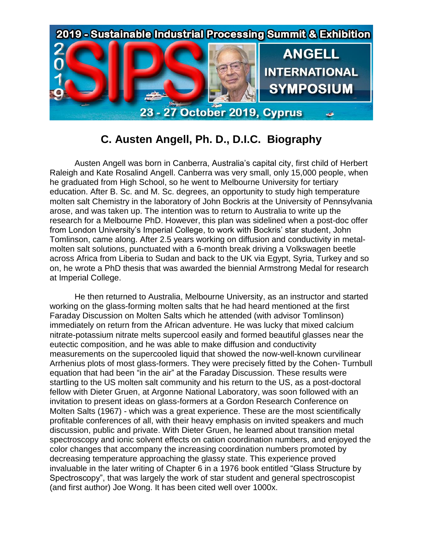

## **C. Austen Angell, Ph. D., D.I.C. Biography**

Austen Angell was born in Canberra, Australia's capital city, first child of Herbert Raleigh and Kate Rosalind Angell. Canberra was very small, only 15,000 people, when he graduated from High School, so he went to Melbourne University for tertiary education. After B. Sc. and M. Sc. degrees, an opportunity to study high temperature molten salt Chemistry in the laboratory of John Bockris at the University of Pennsylvania arose, and was taken up. The intention was to return to Australia to write up the research for a Melbourne PhD. However, this plan was sidelined when a post-doc offer from London University's Imperial College, to work with Bockris' star student, John Tomlinson, came along. After 2.5 years working on diffusion and conductivity in metalmolten salt solutions, punctuated with a 6-month break driving a Volkswagen beetle across Africa from Liberia to Sudan and back to the UK via Egypt, Syria, Turkey and so on, he wrote a PhD thesis that was awarded the biennial Armstrong Medal for research at Imperial College.

He then returned to Australia, Melbourne University, as an instructor and started working on the glass-forming molten salts that he had heard mentioned at the first Faraday Discussion on Molten Salts which he attended (with advisor Tomlinson) immediately on return from the African adventure. He was lucky that mixed calcium nitrate-potassium nitrate melts supercool easily and formed beautiful glasses near the eutectic composition, and he was able to make diffusion and conductivity measurements on the supercooled liquid that showed the now-well-known curvilinear Arrhenius plots of most glass-formers. They were precisely fitted by the Cohen- Turnbull equation that had been "in the air" at the Faraday Discussion. These results were startling to the US molten salt community and his return to the US, as a post-doctoral fellow with Dieter Gruen, at Argonne National Laboratory, was soon followed with an invitation to present ideas on glass-formers at a Gordon Research Conference on Molten Salts (1967) - which was a great experience. These are the most scientifically profitable conferences of all, with their heavy emphasis on invited speakers and much discussion, public and private. With Dieter Gruen, he learned about transition metal spectroscopy and ionic solvent effects on cation coordination numbers, and enjoyed the color changes that accompany the increasing coordination numbers promoted by decreasing temperature approaching the glassy state. This experience proved invaluable in the later writing of Chapter 6 in a 1976 book entitled "Glass Structure by Spectroscopy", that was largely the work of star student and general spectroscopist (and first author) Joe Wong. It has been cited well over 1000x.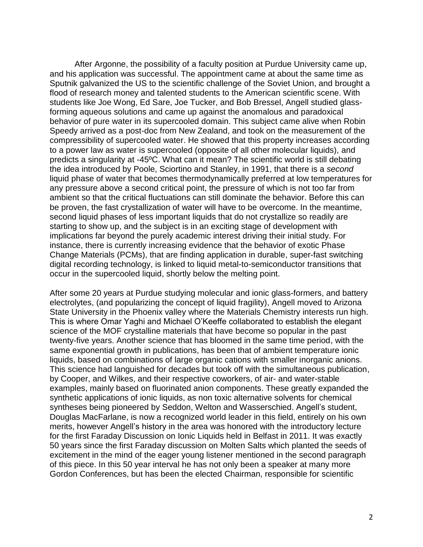After Argonne, the possibility of a faculty position at Purdue University came up, and his application was successful. The appointment came at about the same time as Sputnik galvanized the US to the scientific challenge of the Soviet Union, and brought a flood of research money and talented students to the American scientific scene. With students like Joe Wong, Ed Sare, Joe Tucker, and Bob Bressel, Angell studied glassforming aqueous solutions and came up against the anomalous and paradoxical behavior of pure water in its supercooled domain. This subject came alive when Robin Speedy arrived as a post-doc from New Zealand, and took on the measurement of the compressibility of supercooled water. He showed that this property increases according to a power law as water is supercooled (opposite of all other molecular liquids), and predicts a singularity at -45ºC. What can it mean? The scientific world is still debating the idea introduced by Poole, Sciortino and Stanley, in 1991, that there is a *second* liquid phase of water that becomes thermodynamically preferred at low temperatures for any pressure above a second critical point, the pressure of which is not too far from ambient so that the critical fluctuations can still dominate the behavior. Before this can be proven, the fast crystallization of water will have to be overcome. In the meantime, second liquid phases of less important liquids that do not crystallize so readily are starting to show up, and the subject is in an exciting stage of development with implications far beyond the purely academic interest driving their initial study. For instance, there is currently increasing evidence that the behavior of exotic Phase Change Materials (PCMs), that are finding application in durable, super-fast switching digital recording technology, is linked to liquid metal-to-semiconductor transitions that occur in the supercooled liquid, shortly below the melting point.

After some 20 years at Purdue studying molecular and ionic glass-formers, and battery electrolytes, (and popularizing the concept of liquid fragility), Angell moved to Arizona State University in the Phoenix valley where the Materials Chemistry interests run high. This is where Omar Yaghi and Michael O'Keeffe collaborated to establish the elegant science of the MOF crystalline materials that have become so popular in the past twenty-five years. Another science that has bloomed in the same time period, with the same exponential growth in publications, has been that of ambient temperature ionic liquids, based on combinations of large organic cations with smaller inorganic anions. This science had languished for decades but took off with the simultaneous publication, by Cooper, and Wilkes, and their respective coworkers, of air- and water-stable examples, mainly based on fluorinated anion components. These greatly expanded the synthetic applications of ionic liquids, as non toxic alternative solvents for chemical syntheses being pioneered by Seddon, Welton and Wasserschied. Angell's student, Douglas MacFarlane, is now a recognized world leader in this field, entirely on his own merits, however Angell's history in the area was honored with the introductory lecture for the first Faraday Discussion on Ionic Liquids held in Belfast in 2011. It was exactly 50 years since the first Faraday discussion on Molten Salts which planted the seeds of excitement in the mind of the eager young listener mentioned in the second paragraph of this piece. In this 50 year interval he has not only been a speaker at many more Gordon Conferences, but has been the elected Chairman, responsible for scientific